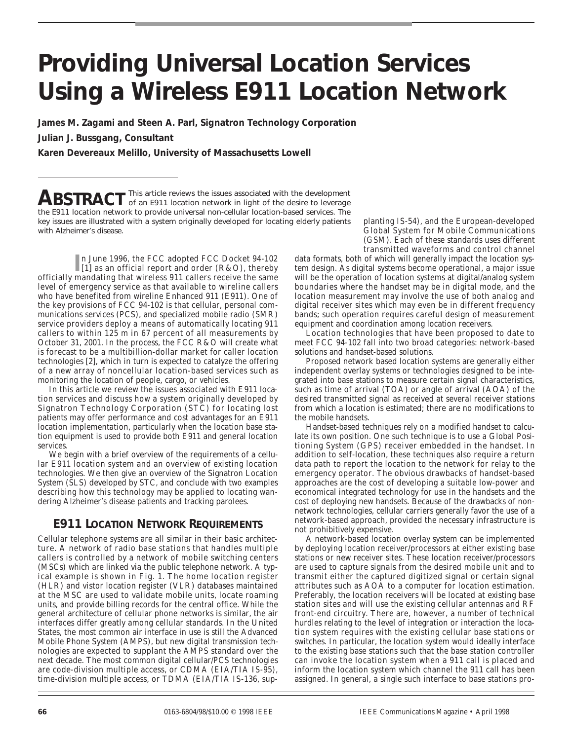# **Providing Universal Location Services Using a Wireless E911 Location Network**

*James M. Zagami and Steen A. Parl, Signatron Technology Corporation Julian J. Bussgang, Consultant Karen Devereaux Melillo, University of Massachusetts Lowell*

This article reviews the issues associated with the development **ABSTRACT** This article reviews the issues associated with the development of the desire to leverage the E911 location network to provide universal non-cellular location-based services. The key issues are illustrated with a system originally developed for locating elderly patients with Alzheimer's disease.

n June 1996, the FCC adopted FCC Docket 94-102 **I**  $\lceil 1 \rceil$  as an official report and order (R&O), thereby officially mandating that wireless 911 callers receive the same level of emergency service as that available to wireline callers who have benefited from wireline Enhanced 911 (E911). One of the key provisions of FCC 94-102 is that cellular, personal communications services (PCS), and specialized mobile radio (SMR) service providers deploy a means of automatically locating 911 callers to within 125 m in 67 percent of all measurements by October 31, 2001. In the process, the FCC R&O will create what is forecast to be a multibillion-dollar market for caller location technologies [2], which in turn is expected to catalyze the offering of a new array of noncellular location-based services such as monitoring the location of people, cargo, or vehicles.

In this article we review the issues associated with E911 location services and discuss how a system originally developed by Signatron Technology Corporation (STC) for locating lost patients may offer performance and cost advantages for an E911 location implementation, particularly when the location base station equipment is used to provide both E911 and general location services.

We begin with a brief overview of the requirements of a cellular E911 location system and an overview of existing location technologies. We then give an overview of the Signatron Location System (SLS) developed by STC, and conclude with two examples describing how this technology may be applied to locating wandering Alzheimer's disease patients and tracking parolees.

## **E911 LOCATION NETWORK REQUIREMENTS**

Cellular telephone systems are all similar in their basic architecture. A network of radio base stations that handles multiple callers is controlled by a network of mobile switching centers (MSCs) which are linked via the public telephone network. A typical example is shown in Fig. 1. The home location register (HLR) and vistor location register (VLR) databases maintained at the MSC are used to validate mobile units, locate roaming units, and provide billing records for the central office. While the general architecture of cellular phone networks is similar, the air interfaces differ greatly among cellular standards. In the United States, the most common air interface in use is still the Advanced Mobile Phone System (AMPS), but new digital transmission technologies are expected to supplant the AMPS standard over the next decade. The most common digital cellular/PCS technologies are code-division multiple access, or CDMA (EIA/TIA IS-95), time-division multiple access, or TDMA (EIA/TIA IS-136, supplanting IS-54), and the European-developed Global System for Mobile Communications (GSM). Each of these standards uses different transmitted waveforms and control channel

data formats, both of which will generally impact the location system design. As digital systems become operational, a major issue will be the operation of location systems at digital/analog system boundaries where the handset may be in digital mode, and the location measurement may involve the use of both analog and digital receiver sites which may even be in different frequency bands; such operation requires careful design of measurement equipment and coordination among location receivers.

Location technologies that have been proposed to date to meet FCC 94-102 fall into two broad categories: network-based solutions and handset-based solutions.

Proposed network based location systems are generally either independent overlay systems or technologies designed to be integrated into base stations to measure certain signal characteristics, such as time of arrival (TOA) or angle of arrival (AOA) of the desired transmitted signal as received at several receiver stations from which a location is estimated; there are no modifications to the mobile handsets.

Handset-based techniques rely on a modified handset to calculate its own position. One such technique is to use a Global Positioning System (GPS) receiver embedded in the handset. In addition to self-location, these techniques also require a return data path to report the location to the network for relay to the emergency operator. The obvious drawbacks of handset-based approaches are the cost of developing a suitable low-power and economical integrated technology for use in the handsets and the cost of deploying new handsets. Because of the drawbacks of nonnetwork technologies, cellular carriers generally favor the use of a network-based approach, provided the necessary infrastructure is not prohibitively expensive.

A network-based location overlay system can be implemented by deploying location receiver/processors at either existing base stations or new receiver sites. These location receiver/processors are used to capture signals from the desired mobile unit and to transmit either the captured digitized signal or certain signal attributes such as AOA to a computer for location estimation. Preferably, the location receivers will be located at existing base station sites and will use the existing cellular antennas and RF front-end circuitry. There are, however, a number of technical hurdles relating to the level of integration or interaction the location system requires with the existing cellular base stations or switches. In particular, the location system would ideally interface to the existing base stations such that the base station controller can invoke the location system when a 911 call is placed and inform the location system which channel the 911 call has been assigned. In general, a single such interface to base stations pro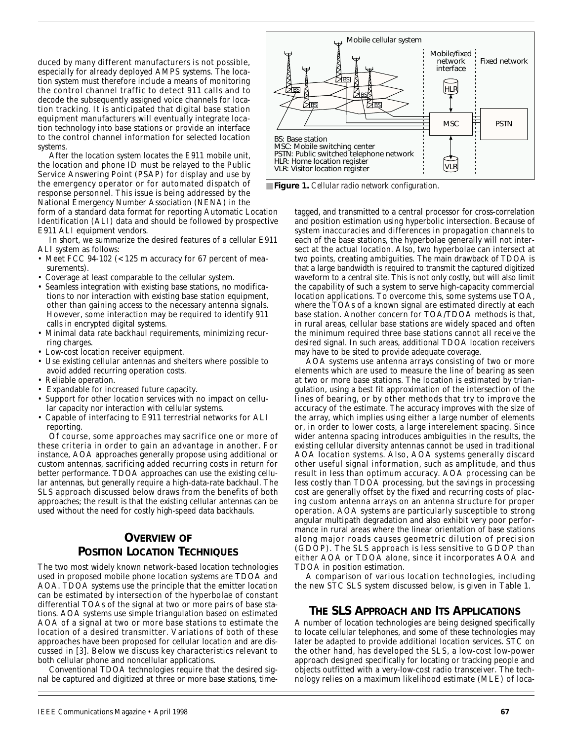duced by many different manufacturers is not possible, especially for already deployed AMPS systems. The location system must therefore include a means of monitoring the control channel traffic to detect 911 calls and to decode the subsequently assigned voice channels for location tracking. It is anticipated that digital base station equipment manufacturers will eventually integrate location technology into base stations or provide an interface to the control channel information for selected location systems.

After the location system locates the E911 mobile unit, the location and phone ID must be relayed to the Public Service Answering Point (PSAP) for display and use by the emergency operator or for automated dispatch of response personnel. This issue is being addressed by the National Emergency Number Association (NENA) in the

form of a standard data format for reporting Automatic Location Identification (ALI) data and should be followed by prospective E911 ALI equipment vendors.

In short, we summarize the desired features of a cellular E911 ALI system as follows:

- Meet FCC 94-102 (<125 m accuracy for 67 percent of measurements).
- Coverage at least comparable to the cellular system.
- Seamless integration with existing base stations, no modifications to nor interaction with existing base station equipment, other than gaining access to the necessary antenna signals. However, some interaction may be required to identify 911 calls in encrypted digital systems.
- Minimal data rate backhaul requirements, minimizing recurring charges.
- Low-cost location receiver equipment.
- Use existing cellular antennas and shelters where possible to avoid added recurring operation costs.
- Reliable operation.
- Expandable for increased future capacity.
- Support for other location services with no impact on cellular capacity nor interaction with cellular systems.
- Capable of interfacing to E911 terrestrial networks for ALI reporting.

Of course, some approaches may sacrifice one or more of these criteria in order to gain an advantage in another. For instance, AOA approaches generally propose using additional or custom antennas, sacrificing added recurring costs in return for better performance. TDOA approaches can use the existing cellular antennas, but generally require a high-data-rate backhaul. The SLS approach discussed below draws from the benefits of both approaches; the result is that the existing cellular antennas can be used without the need for costly high-speed data backhauls.

## **OVERVIEW OF POSITION LOCATION TECHNIQUES**

The two most widely known network-based location technologies used in proposed mobile phone location systems are TDOA and AOA. TDOA systems use the principle that the emitter location can be estimated by intersection of the hyperbolae of constant differential TOAs of the signal at two or more pairs of base stations. AOA systems use simple triangulation based on estimated AOA of a signal at two or more base stations to estimate the location of a desired transmitter. Variations of both of these approaches have been proposed for cellular location and are discussed in [3]. Below we discuss key characteristics relevant to both cellular phone and noncellular applications.

Conventional TDOA technologies require that the desired signal be captured and digitized at three or more base stations, time-



■ **Figure 1.** *Cellular radio network configuration.*

tagged, and transmitted to a central processor for cross-correlation and position estimation using hyperbolic intersection. Because of system inaccuracies and differences in propagation channels to each of the base stations, the hyperbolae generally will not intersect at the actual location. Also, two hyperbolae can intersect at two points, creating ambiguities. The main drawback of TDOA is that a large bandwidth is required to transmit the captured digitized waveform to a central site. This is not only costly, but will also limit the capability of such a system to serve high-capacity commercial location applications. To overcome this, some systems use TOA, where the TOAs of a known signal are estimated directly at each base station. Another concern for TOA/TDOA methods is that, in rural areas, cellular base stations are widely spaced and often the minimum required three base stations cannot all receive the desired signal. In such areas, additional TDOA location receivers may have to be sited to provide adequate coverage.

AOA systems use antenna arrays consisting of two or more elements which are used to measure the line of bearing as seen at two or more base stations. The location is estimated by triangulation, using a best fit approximation of the intersection of the lines of bearing, or by other methods that try to improve the accuracy of the estimate. The accuracy improves with the size of the array, which implies using either a large number of elements or, in order to lower costs, a large interelement spacing. Since wider antenna spacing introduces ambiguities in the results, the existing cellular diversity antennas cannot be used in traditional AOA location systems. Also, AOA systems generally discard other useful signal information, such as amplitude, and thus result in less than optimum accuracy. AOA processing can be less costly than TDOA processing, but the savings in processing cost are generally offset by the fixed and recurring costs of placing custom antenna arrays on an antenna structure for proper operation. AOA systems are particularly susceptible to strong angular multipath degradation and also exhibit very poor performance in rural areas where the linear orientation of base stations along major roads causes geometric dilution of precision (GDOP). The SLS approach is less sensitive to GDOP than either AOA or TDOA alone, since it incorporates AOA and TDOA in position estimation.

A comparison of various location technologies, including the new STC SLS system discussed below, is given in Table 1.

#### **THE SLS APPROACH AND ITS APPLICATIONS**

A number of location technologies are being designed specifically to locate cellular telephones, and some of these technologies may later be adapted to provide additional location services. STC on the other hand, has developed the SLS, a low-cost low-power approach designed specifically for locating or tracking people and objects outfitted with a very-low-cost radio transceiver. The technology relies on a maximum likelihood estimate (MLE) of loca-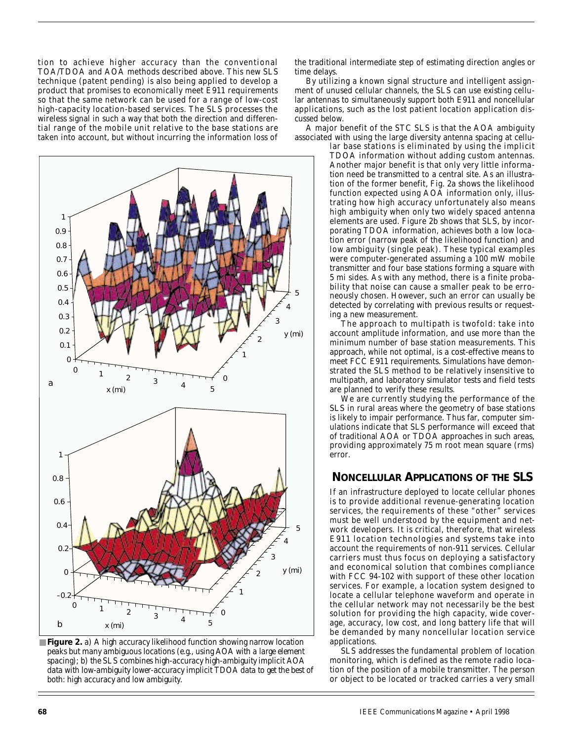tion to achieve higher accuracy than the conventional TOA/TDOA and AOA methods described above. This new SLS technique (patent pending) is also being applied to develop a product that promises to economically meet E911 requirements so that the same network can be used for a range of low-cost high-capacity location-based services. The SLS processes the wireless signal in such a way that both the direction and differential range of the mobile unit relative to the base stations are taken into account, but without incurring the information loss of



■ **Figure 2.** *a) A high accuracy likelihood function showing narrow location peaks but many ambiguous locations (e.g., using AOA with a large element spacing); b) the SLS combines high-accuracy high-ambiguity implicit AOA data with low-ambiguity lower-accuracy implicit TDOA data to get the best of both: high accuracy and low ambiguity.*

the traditional intermediate step of estimating direction angles or time delays.

By utilizing a known signal structure and intelligent assignment of unused cellular channels, the SLS can use existing cellular antennas to simultaneously support both E911 and noncellular applications, such as the lost patient location application discussed below.

A major benefit of the STC SLS is that the AOA ambiguity associated with using the large diversity antenna spacing at cellu-

lar base stations is eliminated by using the implicit TDOA information without adding custom antennas. Another major benefit is that only very little information need be transmitted to a central site. As an illustration of the former benefit, Fig. 2a shows the likelihood function expected using AOA information only, illustrating how high accuracy unfortunately also means high ambiguity when only two widely spaced antenna elements are used. Figure 2b shows that SLS, by incorporating TDOA information, achieves both a low location error (narrow peak of the likelihood function) and low ambiguity (single peak). These typical examples were computer-generated assuming a 100 mW mobile transmitter and four base stations forming a square with 5 mi sides. As with any method, there is a finite probability that noise can cause a smaller peak to be erroneously chosen. However, such an error can usually be detected by correlating with previous results or requesting a new measurement.

The approach to multipath is twofold: take into account amplitude information, and use more than the minimum number of base station measurements. This approach, while not optimal, is a cost-effective means to meet FCC E911 requirements. Simulations have demonstrated the SLS method to be relatively insensitive to multipath, and laboratory simulator tests and field tests are planned to verify these results.

We are currently studying the performance of the SLS in rural areas where the geometry of base stations is likely to impair performance. Thus far, computer simulations indicate that SLS performance will exceed that of traditional AOA or TDOA approaches in such areas, providing approximately 75 m root mean square (rms) error.

# **NONCELLULAR APPLICATIONS OF THE SLS**

If an infrastructure deployed to locate cellular phones is to provide additional revenue-generating location services, the requirements of these "other" services must be well understood by the equipment and network developers. It is critical, therefore, that wireless E911 location technologies and systems take into account the requirements of non-911 services. Cellular carriers must thus focus on deploying a satisfactory and economical solution that combines compliance with FCC 94-102 with support of these other location services. For example, a location system designed to locate a cellular telephone waveform and operate in the cellular network may not necessarily be the best solution for providing the high capacity, wide coverage, accuracy, low cost, and long battery life that will be demanded by many noncellular location service applications.

SLS addresses the fundamental problem of location monitoring, which is defined as the remote radio location of the position of a mobile transmitter. The person or object to be located or tracked carries a very small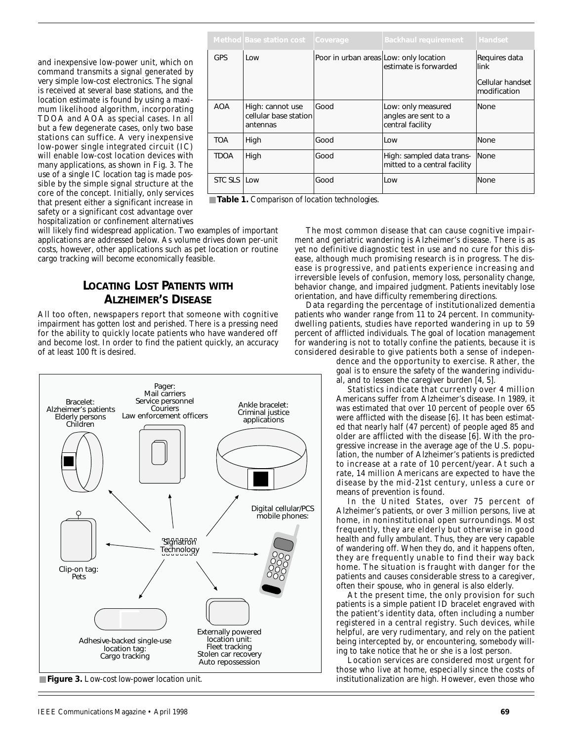and inexpensive low-power unit, which on command transmits a signal generated by very simple low-cost electronics. The signal is received at several base stations, and the location estimate is found by using a maximum likelihood algorithm, incorporating TDOA and AOA as special cases. In all but a few degenerate cases, only two base stations can suffice. A very inexpensive low-power single integrated circuit (IC) will enable low-cost location devices with many applications, as shown in Fig. 3. The use of a single IC location tag is made possible by the simple signal structure at the core of the concept. Initially, only services that present either a significant increase in safety or a significant cost advantage over hospitalization or confinement alternatives

|                    | Method Base station cost                              | <b>Coverage</b>                        | <b>Backhaul requirement</b>                                    | Handset                                                   |
|--------------------|-------------------------------------------------------|----------------------------------------|----------------------------------------------------------------|-----------------------------------------------------------|
| <b>GPS</b>         | Low                                                   | Poor in urban areas Low: only location | lestimate is forwarded                                         | Requires data<br>link<br>Cellular handset<br>modification |
| <b>AOA</b>         | High: cannot use<br>cellular base station<br>antennas | Good                                   | Low: only measured<br>angles are sent to a<br>central facility | <b>None</b>                                               |
| <b>TOA</b>         | High                                                  | Good                                   | Low                                                            | None                                                      |
| TDOA               | High                                                  | Good                                   | High: sampled data trans-<br>mitted to a central facility      | <b>None</b>                                               |
| <b>STC SLS LOW</b> |                                                       | Good                                   | Low                                                            | None                                                      |

■ **Table 1.** *Comparison of location technologies.*

will likely find widespread application. Two examples of important applications are addressed below. As volume drives down per-unit costs, however, other applications such as pet location or routine cargo tracking will become economically feasible.

## **LOCATING LOST PATIENTS WITH ALZHEIMER'S DISEASE**

All too often, newspapers report that someone with cognitive impairment has gotten lost and perished. There is a pressing need for the ability to quickly locate patients who have wandered off and become lost. In order to find the patient quickly, an accuracy of at least 100 ft is desired.



■ **Figure 3.** *Low-cost low-power location unit.*

The most common disease that can cause cognitive impairment and geriatric wandering is Alzheimer's disease. There is as yet no definitive diagnostic test in use and no cure for this disease, although much promising research is in progress. The disease is progressive, and patients experience increasing and irreversible levels of confusion, memory loss, personality change, behavior change, and impaired judgment. Patients inevitably lose orientation, and have difficulty remembering directions.

Data regarding the percentage of institutionalized dementia patients who wander range from 11 to 24 percent. In communitydwelling patients, studies have reported wandering in up to 59 percent of afflicted individuals. The goal of location management for wandering is not to totally confine the patients, because it is considered desirable to give patients both a sense of indepen-

dence and the opportunity to exercise. Rather, the goal is to ensure the safety of the wandering individual, and to lessen the caregiver burden [4, 5].

Statistics indicate that currently over 4 million Americans suffer from Alzheimer's disease. In 1989, it was estimated that over 10 percent of people over 65 were afflicted with the disease [6]. It has been estimated that nearly half (47 percent) of people aged 85 and older are afflicted with the disease [6]. With the progressive increase in the average age of the U.S. population, the number of Alzheimer's patients is predicted to increase at a rate of 10 percent/year. At such a rate, 14 million Americans are expected to have the disease by the mid-21st century, unless a cure or means of prevention is found.

In the United States, over 75 percent of Alzheimer's patients, or over 3 million persons, live at home, in noninstitutional open surroundings. Most frequently, they are elderly but otherwise in good health and fully ambulant. Thus, they are very capable of wandering off. When they do, and it happens often, they are frequently unable to find their way back home. The situation is fraught with danger for the patients and causes considerable stress to a caregiver, often their spouse, who in general is also elderly.

At the present time, the only provision for such patients is a simple patient ID bracelet engraved with the patient's identity data, often including a number registered in a central registry. Such devices, while helpful, are very rudimentary, and rely on the patient being intercepted by, or encountering, somebody willing to take notice that he or she is a lost person.

Location services are considered most urgent for those who live at home, especially since the costs of institutionalization are high. However, even those who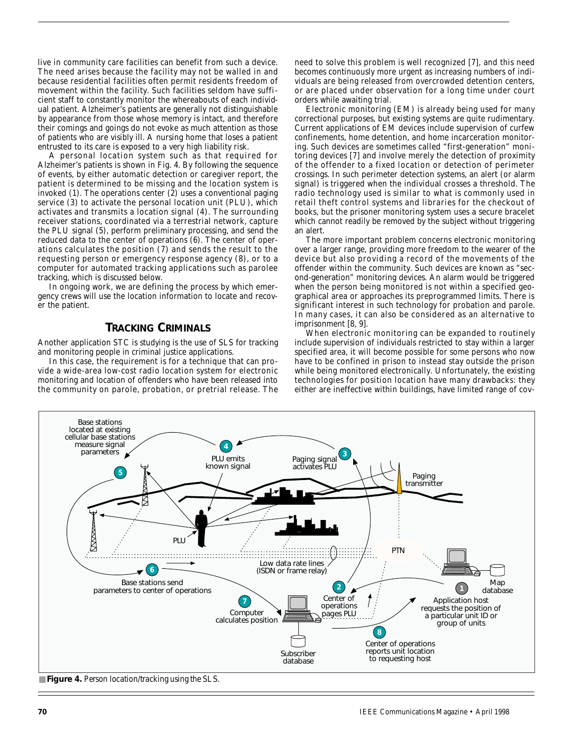live in community care facilities can benefit from such a device. The need arises because the facility may not be walled in and because residential facilities often permit residents freedom of movement within the facility. Such facilities seldom have sufficient staff to constantly monitor the whereabouts of each individual patient. Alzheimer's patients are generally not distinguishable by appearance from those whose memory is intact, and therefore their comings and goings do not evoke as much attention as those of patients who are visibly ill. A nursing home that loses a patient entrusted to its care is exposed to a very high liability risk.

A personal location system such as that required for Alzheimer's patients is shown in Fig. 4. By following the sequence of events, by either automatic detection or caregiver report, the patient is determined to be missing and the location system is invoked (1). The operations center  $(\overline{2})$  uses a conventional paging service (3) to activate the personal location unit (PLU), which activates and transmits a location signal (4). The surrounding receiver stations, coordinated via a terrestrial network, capture the PLU signal (5), perform preliminary processing, and send the reduced data to the center of operations (6). The center of operations calculates the position (7) and sends the result to the requesting person or emergency response agency (8), or to a computer for automated tracking applications such as parolee tracking, which is discussed below.

In ongoing work, we are defining the process by which emergency crews will use the location information to locate and recover the patient.

### **TRACKING CRIMINALS**

Another application STC is studying is the use of SLS for tracking and monitoring people in criminal justice applications.

In this case, the requirement is for a technique that can provide a wide-area low-cost radio location system for electronic monitoring and location of offenders who have been released into the community on parole, probation, or pretrial release. The need to solve this problem is well recognized [7], and this need becomes continuously more urgent as increasing numbers of individuals are being released from overcrowded detention centers, or are placed under observation for a long time under court orders while awaiting trial.

Electronic monitoring (EM) is already being used for many correctional purposes, but existing systems are quite rudimentary. Current applications of EM devices include supervision of curfew confinements, home detention, and home incarceration monitoring. Such devices are sometimes called "first-generation" monitoring devices [7] and involve merely the detection of proximity of the offender to a fixed location or detection of perimeter crossings. In such perimeter detection systems, an alert (or alarm signal) is triggered when the individual crosses a threshold. The radio technology used is similar to what is commonly used in retail theft control systems and libraries for the checkout of books, but the prisoner monitoring system uses a secure bracelet which cannot readily be removed by the subject without triggering an alert.

The more important problem concerns electronic monitoring over a larger range, providing more freedom to the wearer of the device but also providing a record of the movements of the offender within the community. Such devices are known as "second-generation" monitoring devices. An alarm would be triggered when the person being monitored is not within a specified geographical area or approaches its preprogrammed limits. There is significant interest in such technology for probation and parole. In many cases, it can also be considered as an alternative to imprisonment [8, 9].

When electronic monitoring can be expanded to routinely include supervision of individuals restricted to stay within a larger specified area, it will become possible for some persons who now have to be confined in prison to instead stay outside the prison while being monitored electronically. Unfortunately, the existing technologies for position location have many drawbacks: they either are ineffective within buildings, have limited range of cov-



■ **Figure 4.** *Person location/tracking using the SLS.*